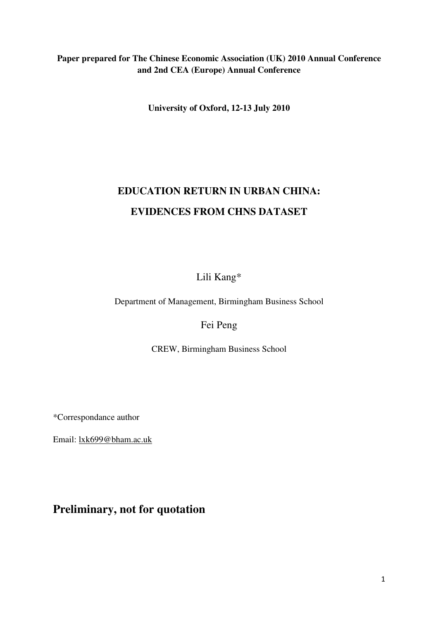# **Paper prepared for The Chinese Economic Association (UK) 2010 Annual Conference and 2nd CEA (Europe) Annual Conference**

**University of Oxford, 12-13 July 2010** 

# **EDUCATION RETURN IN URBAN CHINA: EVIDENCES FROM CHNS DATASET**

# Lili Kang\*

Department of Management, Birmingham Business School

# Fei Peng

CREW, Birmingham Business School

\*Correspondance author

Email: lxk699@bham.ac.uk

# **Preliminary, not for quotation**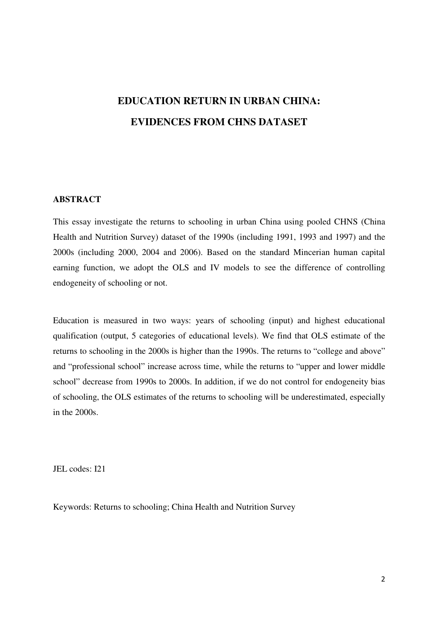# **EDUCATION RETURN IN URBAN CHINA: EVIDENCES FROM CHNS DATASET**

#### **ABSTRACT**

This essay investigate the returns to schooling in urban China using pooled CHNS (China Health and Nutrition Survey) dataset of the 1990s (including 1991, 1993 and 1997) and the 2000s (including 2000, 2004 and 2006). Based on the standard Mincerian human capital earning function, we adopt the OLS and IV models to see the difference of controlling endogeneity of schooling or not.

Education is measured in two ways: years of schooling (input) and highest educational qualification (output, 5 categories of educational levels). We find that OLS estimate of the returns to schooling in the 2000s is higher than the 1990s. The returns to "college and above" and "professional school" increase across time, while the returns to "upper and lower middle school" decrease from 1990s to 2000s. In addition, if we do not control for endogeneity bias of schooling, the OLS estimates of the returns to schooling will be underestimated, especially in the 2000s.

JEL codes: I21

Keywords: Returns to schooling; China Health and Nutrition Survey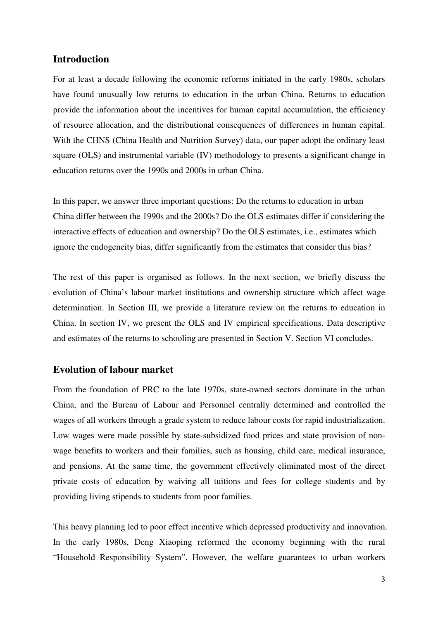## **Introduction**

For at least a decade following the economic reforms initiated in the early 1980s, scholars have found unusually low returns to education in the urban China. Returns to education provide the information about the incentives for human capital accumulation, the efficiency of resource allocation, and the distributional consequences of differences in human capital. With the CHNS (China Health and Nutrition Survey) data, our paper adopt the ordinary least square (OLS) and instrumental variable (IV) methodology to presents a significant change in education returns over the 1990s and 2000s in urban China.

In this paper, we answer three important questions: Do the returns to education in urban China differ between the 1990s and the 2000s? Do the OLS estimates differ if considering the interactive effects of education and ownership? Do the OLS estimates, i.e., estimates which ignore the endogeneity bias, differ significantly from the estimates that consider this bias?

The rest of this paper is organised as follows. In the next section, we briefly discuss the evolution of China's labour market institutions and ownership structure which affect wage determination. In Section III, we provide a literature review on the returns to education in China. In section IV, we present the OLS and IV empirical specifications. Data descriptive and estimates of the returns to schooling are presented in Section V. Section VI concludes.

# **Evolution of labour market**

From the foundation of PRC to the late 1970s, state-owned sectors dominate in the urban China, and the Bureau of Labour and Personnel centrally determined and controlled the wages of all workers through a grade system to reduce labour costs for rapid industrialization. Low wages were made possible by state-subsidized food prices and state provision of nonwage benefits to workers and their families, such as housing, child care, medical insurance, and pensions. At the same time, the government effectively eliminated most of the direct private costs of education by waiving all tuitions and fees for college students and by providing living stipends to students from poor families.

This heavy planning led to poor effect incentive which depressed productivity and innovation. In the early 1980s, Deng Xiaoping reformed the economy beginning with the rural "Household Responsibility System". However, the welfare guarantees to urban workers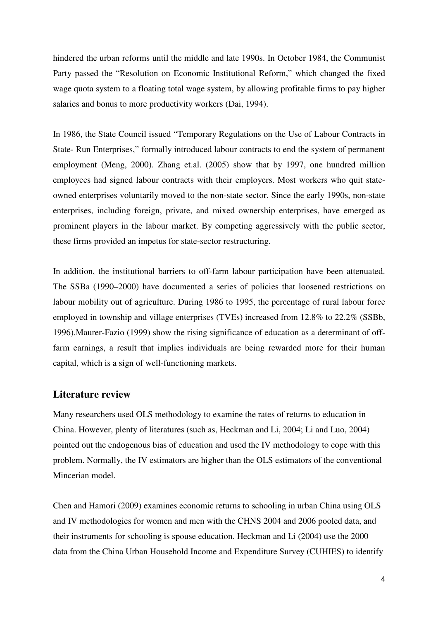hindered the urban reforms until the middle and late 1990s. In October 1984, the Communist Party passed the "Resolution on Economic Institutional Reform," which changed the fixed wage quota system to a floating total wage system, by allowing profitable firms to pay higher salaries and bonus to more productivity workers (Dai, 1994).

In 1986, the State Council issued "Temporary Regulations on the Use of Labour Contracts in State- Run Enterprises," formally introduced labour contracts to end the system of permanent employment (Meng, 2000). Zhang et.al. (2005) show that by 1997, one hundred million employees had signed labour contracts with their employers. Most workers who quit stateowned enterprises voluntarily moved to the non-state sector. Since the early 1990s, non-state enterprises, including foreign, private, and mixed ownership enterprises, have emerged as prominent players in the labour market. By competing aggressively with the public sector, these firms provided an impetus for state-sector restructuring.

In addition, the institutional barriers to off-farm labour participation have been attenuated. The SSBa (1990–2000) have documented a series of policies that loosened restrictions on labour mobility out of agriculture. During 1986 to 1995, the percentage of rural labour force employed in township and village enterprises (TVEs) increased from 12.8% to 22.2% (SSBb, 1996).Maurer-Fazio (1999) show the rising significance of education as a determinant of offfarm earnings, a result that implies individuals are being rewarded more for their human capital, which is a sign of well-functioning markets.

#### **Literature review**

Many researchers used OLS methodology to examine the rates of returns to education in China. However, plenty of literatures (such as, Heckman and Li, 2004; Li and Luo, 2004) pointed out the endogenous bias of education and used the IV methodology to cope with this problem. Normally, the IV estimators are higher than the OLS estimators of the conventional Mincerian model.

Chen and Hamori (2009) examines economic returns to schooling in urban China using OLS and IV methodologies for women and men with the CHNS 2004 and 2006 pooled data, and their instruments for schooling is spouse education. Heckman and Li (2004) use the 2000 data from the China Urban Household Income and Expenditure Survey (CUHIES) to identify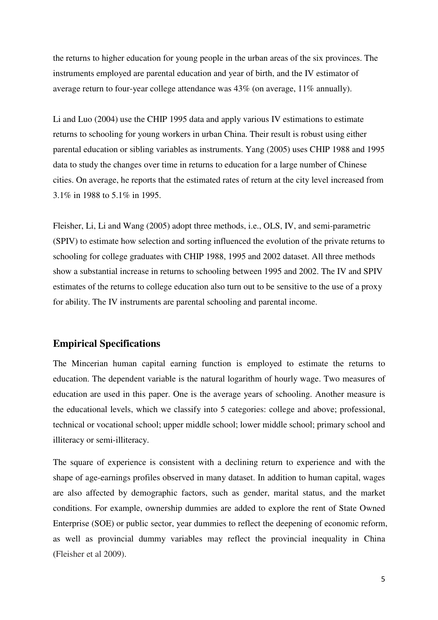the returns to higher education for young people in the urban areas of the six provinces. The instruments employed are parental education and year of birth, and the IV estimator of average return to four-year college attendance was 43% (on average, 11% annually).

Li and Luo (2004) use the CHIP 1995 data and apply various IV estimations to estimate returns to schooling for young workers in urban China. Their result is robust using either parental education or sibling variables as instruments. Yang (2005) uses CHIP 1988 and 1995 data to study the changes over time in returns to education for a large number of Chinese cities. On average, he reports that the estimated rates of return at the city level increased from 3.1% in 1988 to 5.1% in 1995.

Fleisher, Li, Li and Wang (2005) adopt three methods, i.e., OLS, IV, and semi-parametric (SPIV) to estimate how selection and sorting influenced the evolution of the private returns to schooling for college graduates with CHIP 1988, 1995 and 2002 dataset. All three methods show a substantial increase in returns to schooling between 1995 and 2002. The IV and SPIV estimates of the returns to college education also turn out to be sensitive to the use of a proxy for ability. The IV instruments are parental schooling and parental income.

## **Empirical Specifications**

The Mincerian human capital earning function is employed to estimate the returns to education. The dependent variable is the natural logarithm of hourly wage. Two measures of education are used in this paper. One is the average years of schooling. Another measure is the educational levels, which we classify into 5 categories: college and above; professional, technical or vocational school; upper middle school; lower middle school; primary school and illiteracy or semi-illiteracy.

The square of experience is consistent with a declining return to experience and with the shape of age-earnings profiles observed in many dataset. In addition to human capital, wages are also affected by demographic factors, such as gender, marital status, and the market conditions. For example, ownership dummies are added to explore the rent of State Owned Enterprise (SOE) or public sector, year dummies to reflect the deepening of economic reform, as well as provincial dummy variables may reflect the provincial inequality in China (Fleisher et al 2009).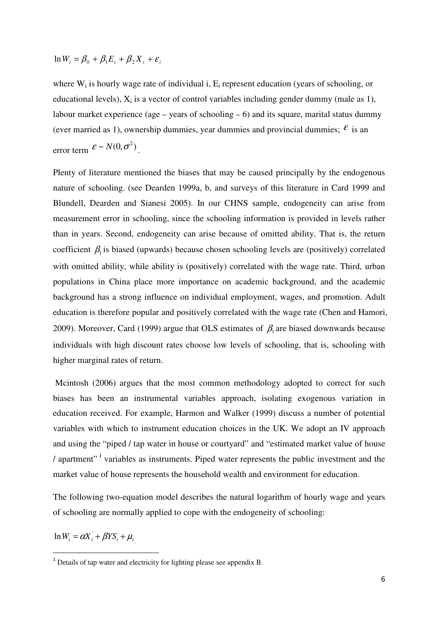$\ln W_i = \beta_0 + \beta_1 E_i + \beta_2 X_i + \varepsilon_i$ 

where  $W_i$  is hourly wage rate of individual i,  $E_i$  represent education (years of schooling, or educational levels),  $X_i$  is a vector of control variables including gender dummy (male as 1), labour market experience (age – years of schooling  $-6$ ) and its square, marital status dummy (ever married as 1), ownership dummies, year dummies and provincial dummies;  $\epsilon$  is an error term  $\mathcal{E} \sim N(0, \sigma^2)$ .

Plenty of literature mentioned the biases that may be caused principally by the endogenous nature of schooling. (see Dearden 1999a, b, and surveys of this literature in Card 1999 and Blundell, Dearden and Sianesi 2005). In our CHNS sample, endogeneity can arise from measurement error in schooling, since the schooling information is provided in levels rather than in years. Second, endogeneity can arise because of omitted ability. That is, the return coefficient  $\beta_1$  is biased (upwards) because chosen schooling levels are (positively) correlated with omitted ability, while ability is (positively) correlated with the wage rate. Third, urban populations in China place more importance on academic background, and the academic background has a strong influence on individual employment, wages, and promotion. Adult education is therefore popular and positively correlated with the wage rate (Chen and Hamori, 2009). Moreover, Card (1999) argue that OLS estimates of  $\beta_1$  are biased downwards because individuals with high discount rates choose low levels of schooling, that is, schooling with higher marginal rates of return.

 Mcintosh (2006) argues that the most common methodology adopted to correct for such biases has been an instrumental variables approach, isolating exogenous variation in education received. For example, Harmon and Walker (1999) discuss a number of potential variables with which to instrument education choices in the UK. We adopt an IV approach and using the "piped / tap water in house or courtyard" and "estimated market value of house  $/$  apartment"<sup>1</sup> variables as instruments. Piped water represents the public investment and the market value of house represents the household wealth and environment for education.

The following two-equation model describes the natural logarithm of hourly wage and years of schooling are normally applied to cope with the endogeneity of schooling:

 $\ln W_i = \alpha X_i + \beta Y S_i + \mu_i$ 

 $1$  Details of tap water and electricity for lighting please see appendix B.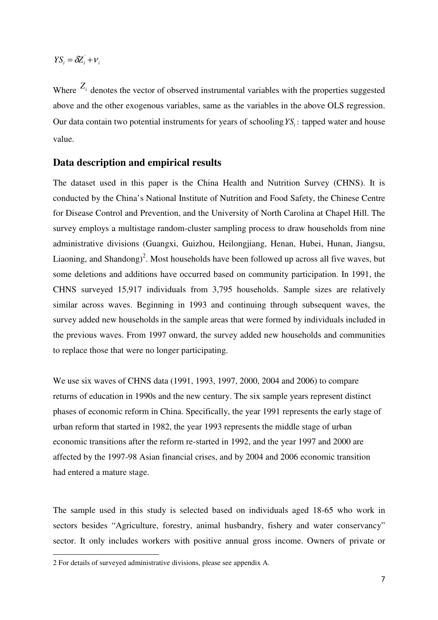$YS_i = \delta Z_i + v_i$ 

Where  $Z_i$  denotes the vector of observed instrumental variables with the properties suggested above and the other exogenous variables, same as the variables in the above OLS regression. Our data contain two potential instruments for years of schooling*YS<sup>i</sup>* : tapped water and house value.

#### **Data description and empirical results**

The dataset used in this paper is the China Health and Nutrition Survey (CHNS). It is conducted by the China's National Institute of Nutrition and Food Safety, the Chinese Centre for Disease Control and Prevention, and the University of North Carolina at Chapel Hill. The survey employs a multistage random-cluster sampling process to draw households from nine administrative divisions (Guangxi, Guizhou, Heilongjiang, Henan, Hubei, Hunan, Jiangsu, Liaoning, and Shandong)<sup>2</sup>. Most households have been followed up across all five waves, but some deletions and additions have occurred based on community participation. In 1991, the CHNS surveyed 15,917 individuals from 3,795 households. Sample sizes are relatively similar across waves. Beginning in 1993 and continuing through subsequent waves, the survey added new households in the sample areas that were formed by individuals included in the previous waves. From 1997 onward, the survey added new households and communities to replace those that were no longer participating.

We use six waves of CHNS data (1991, 1993, 1997, 2000, 2004 and 2006) to compare returns of education in 1990s and the new century. The six sample years represent distinct phases of economic reform in China. Specifically, the year 1991 represents the early stage of urban reform that started in 1982, the year 1993 represents the middle stage of urban economic transitions after the reform re-started in 1992, and the year 1997 and 2000 are affected by the 1997-98 Asian financial crises, and by 2004 and 2006 economic transition had entered a mature stage.

The sample used in this study is selected based on individuals aged 18-65 who work in sectors besides "Agriculture, forestry, animal husbandry, fishery and water conservancy" sector. It only includes workers with positive annual gross income. Owners of private or

<sup>2</sup> For details of surveyed administrative divisions, please see appendix A.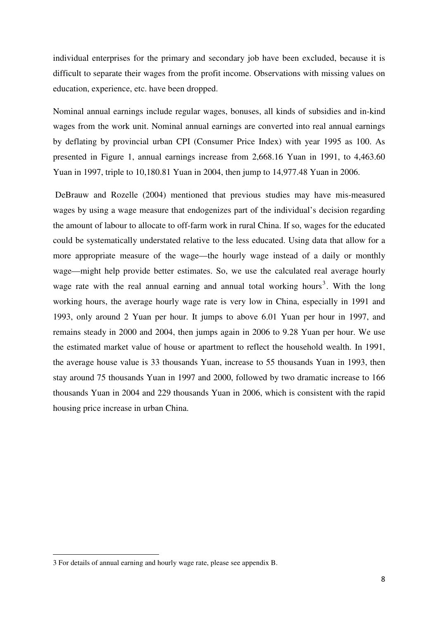individual enterprises for the primary and secondary job have been excluded, because it is difficult to separate their wages from the profit income. Observations with missing values on education, experience, etc. have been dropped.

Nominal annual earnings include regular wages, bonuses, all kinds of subsidies and in-kind wages from the work unit. Nominal annual earnings are converted into real annual earnings by deflating by provincial urban CPI (Consumer Price Index) with year 1995 as 100. As presented in Figure 1, annual earnings increase from 2,668.16 Yuan in 1991, to 4,463.60 Yuan in 1997, triple to 10,180.81 Yuan in 2004, then jump to 14,977.48 Yuan in 2006.

 DeBrauw and Rozelle (2004) mentioned that previous studies may have mis-measured wages by using a wage measure that endogenizes part of the individual's decision regarding the amount of labour to allocate to off-farm work in rural China. If so, wages for the educated could be systematically understated relative to the less educated. Using data that allow for a more appropriate measure of the wage—the hourly wage instead of a daily or monthly wage—might help provide better estimates. So, we use the calculated real average hourly wage rate with the real annual earning and annual total working hours<sup>3</sup>. With the long working hours, the average hourly wage rate is very low in China, especially in 1991 and 1993, only around 2 Yuan per hour. It jumps to above 6.01 Yuan per hour in 1997, and remains steady in 2000 and 2004, then jumps again in 2006 to 9.28 Yuan per hour. We use the estimated market value of house or apartment to reflect the household wealth. In 1991, the average house value is 33 thousands Yuan, increase to 55 thousands Yuan in 1993, then stay around 75 thousands Yuan in 1997 and 2000, followed by two dramatic increase to 166 thousands Yuan in 2004 and 229 thousands Yuan in 2006, which is consistent with the rapid housing price increase in urban China.

<sup>3</sup> For details of annual earning and hourly wage rate, please see appendix B.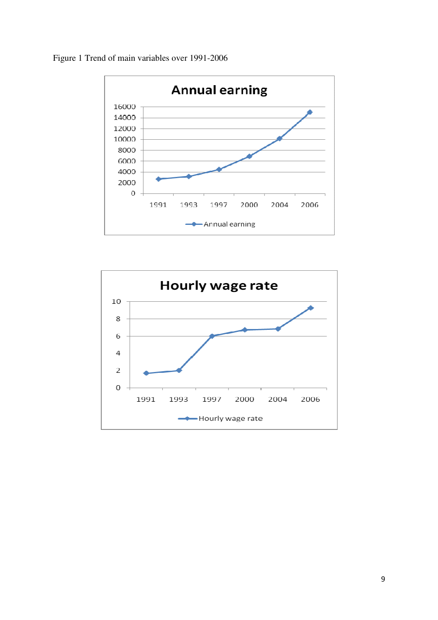Figure 1 Trend of main variables over 1991-2006



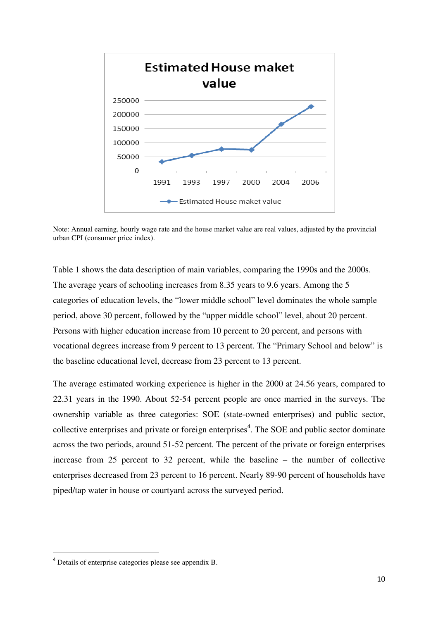

Note: Annual earning, hourly wage rate and the house market value are real values, adjusted by the provincial urban CPI (consumer price index).

Table 1 shows the data description of main variables, comparing the 1990s and the 2000s. The average years of schooling increases from 8.35 years to 9.6 years. Among the 5 categories of education levels, the "lower middle school" level dominates the whole sample period, above 30 percent, followed by the "upper middle school" level, about 20 percent. Persons with higher education increase from 10 percent to 20 percent, and persons with vocational degrees increase from 9 percent to 13 percent. The "Primary School and below" is the baseline educational level, decrease from 23 percent to 13 percent.

The average estimated working experience is higher in the 2000 at 24.56 years, compared to 22.31 years in the 1990. About 52-54 percent people are once married in the surveys. The ownership variable as three categories: SOE (state-owned enterprises) and public sector, collective enterprises and private or foreign enterprises<sup>4</sup>. The SOE and public sector dominate across the two periods, around 51-52 percent. The percent of the private or foreign enterprises increase from 25 percent to 32 percent, while the baseline – the number of collective enterprises decreased from 23 percent to 16 percent. Nearly 89-90 percent of households have piped/tap water in house or courtyard across the surveyed period.

<sup>4</sup> Details of enterprise categories please see appendix B.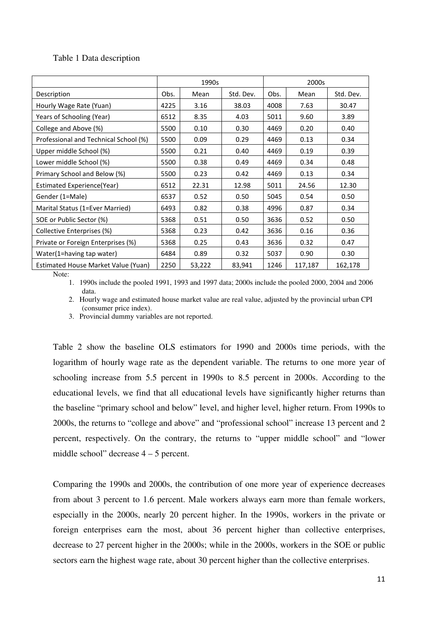#### Table 1 Data description

|                                       | 1990s |        |           | 2000s |         |           |
|---------------------------------------|-------|--------|-----------|-------|---------|-----------|
| Description                           | Obs.  | Mean   | Std. Dev. | Obs.  | Mean    | Std. Dev. |
| Hourly Wage Rate (Yuan)               | 4225  | 3.16   | 38.03     | 4008  | 7.63    | 30.47     |
| Years of Schooling (Year)             | 6512  | 8.35   | 4.03      | 5011  | 9.60    | 3.89      |
| College and Above (%)                 | 5500  | 0.10   | 0.30      | 4469  | 0.20    | 0.40      |
| Professional and Technical School (%) | 5500  | 0.09   | 0.29      | 4469  | 0.13    | 0.34      |
| Upper middle School (%)               | 5500  | 0.21   | 0.40      | 4469  | 0.19    | 0.39      |
| Lower middle School (%)               | 5500  | 0.38   | 0.49      | 4469  | 0.34    | 0.48      |
| Primary School and Below (%)          | 5500  | 0.23   | 0.42      | 4469  | 0.13    | 0.34      |
| Estimated Experience(Year)            | 6512  | 22.31  | 12.98     | 5011  | 24.56   | 12.30     |
| Gender (1=Male)                       | 6537  | 0.52   | 0.50      | 5045  | 0.54    | 0.50      |
| Marital Status (1=Ever Married)       | 6493  | 0.82   | 0.38      | 4996  | 0.87    | 0.34      |
| SOE or Public Sector (%)              | 5368  | 0.51   | 0.50      | 3636  | 0.52    | 0.50      |
| Collective Enterprises (%)            | 5368  | 0.23   | 0.42      | 3636  | 0.16    | 0.36      |
| Private or Foreign Enterprises (%)    | 5368  | 0.25   | 0.43      | 3636  | 0.32    | 0.47      |
| Water(1=having tap water)             | 6484  | 0.89   | 0.32      | 5037  | 0.90    | 0.30      |
| Estimated House Market Value (Yuan)   | 2250  | 53,222 | 83,941    | 1246  | 117,187 | 162,178   |

Note:

1. 1990s include the pooled 1991, 1993 and 1997 data; 2000s include the pooled 2000, 2004 and 2006 data.

2. Hourly wage and estimated house market value are real value, adjusted by the provincial urban CPI (consumer price index).

3. Provincial dummy variables are not reported.

Table 2 show the baseline OLS estimators for 1990 and 2000s time periods, with the logarithm of hourly wage rate as the dependent variable. The returns to one more year of schooling increase from 5.5 percent in 1990s to 8.5 percent in 2000s. According to the educational levels, we find that all educational levels have significantly higher returns than the baseline "primary school and below" level, and higher level, higher return. From 1990s to 2000s, the returns to "college and above" and "professional school" increase 13 percent and 2 percent, respectively. On the contrary, the returns to "upper middle school" and "lower middle school" decrease 4 – 5 percent.

Comparing the 1990s and 2000s, the contribution of one more year of experience decreases from about 3 percent to 1.6 percent. Male workers always earn more than female workers, especially in the 2000s, nearly 20 percent higher. In the 1990s, workers in the private or foreign enterprises earn the most, about 36 percent higher than collective enterprises, decrease to 27 percent higher in the 2000s; while in the 2000s, workers in the SOE or public sectors earn the highest wage rate, about 30 percent higher than the collective enterprises.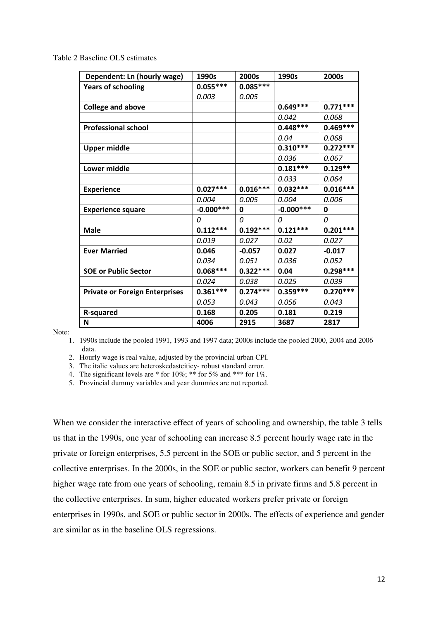Table 2 Baseline OLS estimates

| Dependent: Ln (hourly wage)           | 1990s       | 2000s      | 1990s       | 2000s      |
|---------------------------------------|-------------|------------|-------------|------------|
| <b>Years of schooling</b>             | $0.055***$  | $0.085***$ |             |            |
|                                       | 0.003       | 0.005      |             |            |
| <b>College and above</b>              |             |            | $0.649***$  | $0.771***$ |
|                                       |             |            | 0.042       | 0.068      |
| <b>Professional school</b>            |             |            | $0.448***$  | $0.469***$ |
|                                       |             |            | 0.04        | 0.068      |
| Upper middle                          |             |            | $0.310***$  | $0.272***$ |
|                                       |             |            | 0.036       | 0.067      |
| Lower middle                          |             |            | $0.181***$  | $0.129**$  |
|                                       |             |            | 0.033       | 0.064      |
| <b>Experience</b>                     | $0.027***$  | $0.016***$ | $0.032***$  | $0.016***$ |
|                                       | 0.004       | 0.005      | 0.004       | 0.006      |
| <b>Experience square</b>              | $-0.000***$ | 0          | $-0.000***$ | 0          |
|                                       | 0           | 0          | 0           | 0          |
| Male                                  | $0.112***$  | $0.192***$ | $0.121***$  | $0.201***$ |
|                                       | 0.019       | 0.027      | 0.02        | 0.027      |
| <b>Ever Married</b>                   | 0.046       | $-0.057$   | 0.027       | $-0.017$   |
|                                       | 0.034       | 0.051      | 0.036       | 0.052      |
| <b>SOE or Public Sector</b>           | $0.068***$  | $0.322***$ | 0.04        | $0.298***$ |
|                                       | 0.024       | 0.038      | 0.025       | 0.039      |
| <b>Private or Foreign Enterprises</b> | $0.361***$  | $0.274***$ | $0.359***$  | $0.270***$ |
|                                       | 0.053       | 0.043      | 0.056       | 0.043      |
| <b>R-squared</b>                      | 0.168       | 0.205      | 0.181       | 0.219      |
| N                                     | 4006        | 2915       | 3687        | 2817       |

Note:

1. 1990s include the pooled 1991, 1993 and 1997 data; 2000s include the pooled 2000, 2004 and 2006 data.

2. Hourly wage is real value, adjusted by the provincial urban CPI.

3. The italic values are heteroskedastciticy- robust standard error.

4. The significant levels are \* for 10%; \*\* for 5% and \*\*\* for 1%.

5. Provincial dummy variables and year dummies are not reported.

When we consider the interactive effect of years of schooling and ownership, the table 3 tells us that in the 1990s, one year of schooling can increase 8.5 percent hourly wage rate in the private or foreign enterprises, 5.5 percent in the SOE or public sector, and 5 percent in the collective enterprises. In the 2000s, in the SOE or public sector, workers can benefit 9 percent higher wage rate from one years of schooling, remain 8.5 in private firms and 5.8 percent in the collective enterprises. In sum, higher educated workers prefer private or foreign enterprises in 1990s, and SOE or public sector in 2000s. The effects of experience and gender are similar as in the baseline OLS regressions.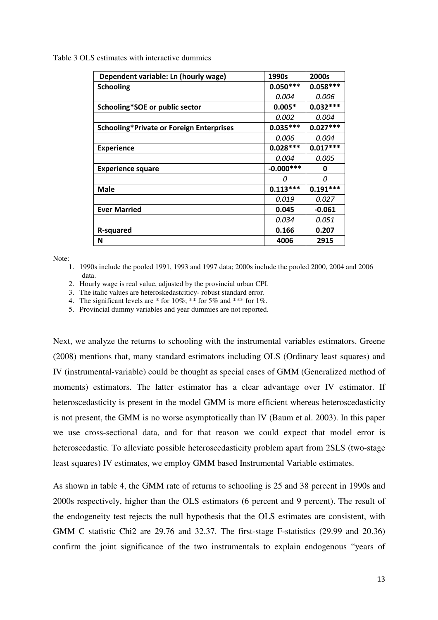Table 3 OLS estimates with interactive dummies

| Dependent variable: Ln (hourly wage)     | 1990s       | 2000s      |
|------------------------------------------|-------------|------------|
| <b>Schooling</b>                         | $0.050***$  | $0.058***$ |
|                                          | 0.004       | 0.006      |
| Schooling*SOE or public sector           | $0.005*$    | $0.032***$ |
|                                          | 0.002       | 0.004      |
| Schooling*Private or Foreign Enterprises | $0.035***$  | $0.027***$ |
|                                          | 0.006       | 0.004      |
| <b>Experience</b>                        | $0.028***$  | $0.017***$ |
|                                          | 0.004       | 0.005      |
| <b>Experience square</b>                 | $-0.000***$ | O          |
|                                          | O           | n          |
| Male                                     | $0.113***$  | $0.191***$ |
|                                          | 0.019       | 0.027      |
| <b>Ever Married</b>                      | 0.045       | $-0.061$   |
|                                          | 0.034       | 0.051      |
| R-squared                                | 0.166       | 0.207      |
| N                                        | 4006        | 2915       |

Note:

1. 1990s include the pooled 1991, 1993 and 1997 data; 2000s include the pooled 2000, 2004 and 2006 data.

2. Hourly wage is real value, adjusted by the provincial urban CPI.

3. The italic values are heteroskedastciticy- robust standard error.

4. The significant levels are \* for 10%; \*\* for 5% and \*\*\* for 1%.

5. Provincial dummy variables and year dummies are not reported.

Next, we analyze the returns to schooling with the instrumental variables estimators. Greene (2008) mentions that, many standard estimators including OLS (Ordinary least squares) and IV (instrumental-variable) could be thought as special cases of GMM (Generalized method of moments) estimators. The latter estimator has a clear advantage over IV estimator. If heteroscedasticity is present in the model GMM is more efficient whereas heteroscedasticity is not present, the GMM is no worse asymptotically than IV (Baum et al. 2003). In this paper we use cross-sectional data, and for that reason we could expect that model error is heteroscedastic. To alleviate possible heteroscedasticity problem apart from 2SLS (two-stage least squares) IV estimates, we employ GMM based Instrumental Variable estimates.

As shown in table 4, the GMM rate of returns to schooling is 25 and 38 percent in 1990s and 2000s respectively, higher than the OLS estimators (6 percent and 9 percent). The result of the endogeneity test rejects the null hypothesis that the OLS estimates are consistent, with GMM C statistic Chi2 are 29.76 and 32.37. The first-stage F-statistics (29.99 and 20.36) confirm the joint significance of the two instrumentals to explain endogenous "years of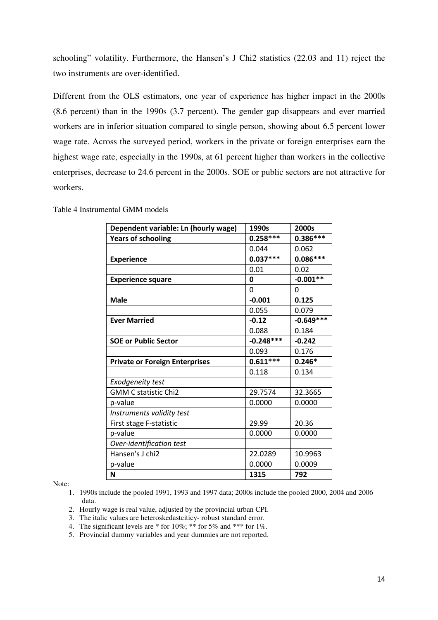schooling" volatility. Furthermore, the Hansen's J Chi2 statistics (22.03 and 11) reject the two instruments are over-identified.

Different from the OLS estimators, one year of experience has higher impact in the 2000s (8.6 percent) than in the 1990s (3.7 percent). The gender gap disappears and ever married workers are in inferior situation compared to single person, showing about 6.5 percent lower wage rate. Across the surveyed period, workers in the private or foreign enterprises earn the highest wage rate, especially in the 1990s, at 61 percent higher than workers in the collective enterprises, decrease to 24.6 percent in the 2000s. SOE or public sectors are not attractive for workers.

| Dependent variable: Ln (hourly wage)  | 1990s       | 2000s       |
|---------------------------------------|-------------|-------------|
| <b>Years of schooling</b>             | $0.258***$  | $0.386***$  |
|                                       | 0.044       | 0.062       |
| <b>Experience</b>                     | $0.037***$  | $0.086***$  |
|                                       | 0.01        | 0.02        |
| <b>Experience square</b>              | 0           | $-0.001**$  |
|                                       | 0           | 0           |
| <b>Male</b>                           | $-0.001$    | 0.125       |
|                                       | 0.055       | 0.079       |
| <b>Ever Married</b>                   | $-0.12$     | $-0.649***$ |
|                                       | 0.088       | 0.184       |
| <b>SOE or Public Sector</b>           | $-0.248***$ | $-0.242$    |
|                                       | 0.093       | 0.176       |
| <b>Private or Foreign Enterprises</b> | $0.611***$  | $0.246*$    |
|                                       | 0.118       | 0.134       |
| <b>Exodgeneity test</b>               |             |             |
| <b>GMM C statistic Chi2</b>           | 29.7574     | 32.3665     |
| p-value                               | 0.0000      | 0.0000      |
| Instruments validity test             |             |             |
| First stage F-statistic               | 29.99       | 20.36       |
| p-value                               | 0.0000      | 0.0000      |
| Over-identification test              |             |             |
| Hansen's J chi2                       | 22.0289     | 10.9963     |
| p-value                               | 0.0000      | 0.0009      |
| N                                     | 1315        | 792         |

Table 4 Instrumental GMM models

Note:

1. 1990s include the pooled 1991, 1993 and 1997 data; 2000s include the pooled 2000, 2004 and 2006 data.

- 2. Hourly wage is real value, adjusted by the provincial urban CPI.
- 3. The italic values are heteroskedastciticy- robust standard error.
- 4. The significant levels are  $*$  for 10%;  $**$  for 5% and  $***$  for 1%.
- 5. Provincial dummy variables and year dummies are not reported.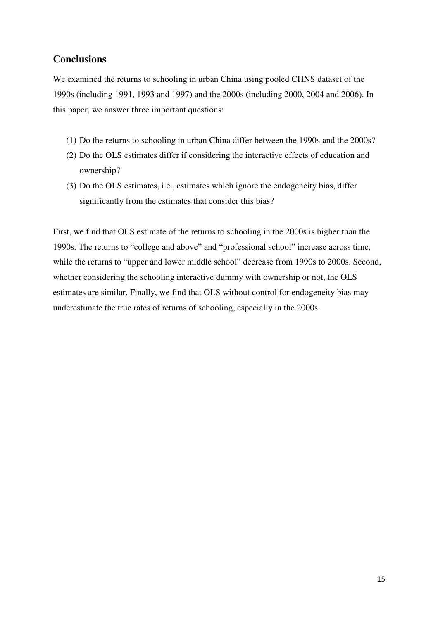# **Conclusions**

We examined the returns to schooling in urban China using pooled CHNS dataset of the 1990s (including 1991, 1993 and 1997) and the 2000s (including 2000, 2004 and 2006). In this paper, we answer three important questions:

- (1) Do the returns to schooling in urban China differ between the 1990s and the 2000s?
- (2) Do the OLS estimates differ if considering the interactive effects of education and ownership?
- (3) Do the OLS estimates, i.e., estimates which ignore the endogeneity bias, differ significantly from the estimates that consider this bias?

First, we find that OLS estimate of the returns to schooling in the 2000s is higher than the 1990s. The returns to "college and above" and "professional school" increase across time, while the returns to "upper and lower middle school" decrease from 1990s to 2000s. Second, whether considering the schooling interactive dummy with ownership or not, the OLS estimates are similar. Finally, we find that OLS without control for endogeneity bias may underestimate the true rates of returns of schooling, especially in the 2000s.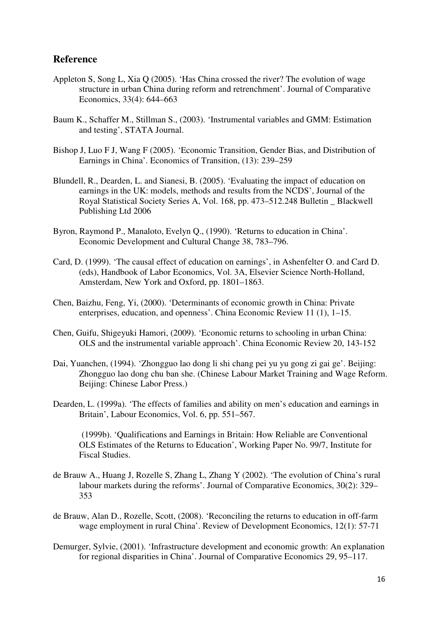## **Reference**

- Appleton S, Song L, Xia Q (2005). 'Has China crossed the river? The evolution of wage structure in urban China during reform and retrenchment'. Journal of Comparative Economics, 33(4): 644–663
- Baum K., Schaffer M., Stillman S., (2003). 'Instrumental variables and GMM: Estimation and testing', STATA Journal.
- Bishop J, Luo F J, Wang F (2005). 'Economic Transition, Gender Bias, and Distribution of Earnings in China'. Economics of Transition, (13): 239–259
- Blundell, R., Dearden, L. and Sianesi, B. (2005). 'Evaluating the impact of education on earnings in the UK: models, methods and results from the NCDS', Journal of the Royal Statistical Society Series A, Vol. 168, pp. 473–512.248 Bulletin \_ Blackwell Publishing Ltd 2006
- Byron, Raymond P., Manaloto, Evelyn Q., (1990). 'Returns to education in China'. Economic Development and Cultural Change 38, 783–796.
- Card, D. (1999). 'The causal effect of education on earnings', in Ashenfelter O. and Card D. (eds), Handbook of Labor Economics, Vol. 3A, Elsevier Science North-Holland, Amsterdam, New York and Oxford, pp. 1801–1863.
- Chen, Baizhu, Feng, Yi, (2000). 'Determinants of economic growth in China: Private enterprises, education, and openness'. China Economic Review 11 (1), 1–15.
- Chen, Guifu, Shigeyuki Hamori, (2009). 'Economic returns to schooling in urban China: OLS and the instrumental variable approach'. China Economic Review 20, 143-152
- Dai, Yuanchen, (1994). 'Zhongguo lao dong li shi chang pei yu yu gong zi gai ge'. Beijing: Zhongguo lao dong chu ban she. (Chinese Labour Market Training and Wage Reform. Beijing: Chinese Labor Press.)
- Dearden, L. (1999a). 'The effects of families and ability on men's education and earnings in Britain', Labour Economics, Vol. 6, pp. 551–567.

 (1999b). 'Qualifications and Earnings in Britain: How Reliable are Conventional OLS Estimates of the Returns to Education', Working Paper No. 99/7, Institute for Fiscal Studies.

- de Brauw A., Huang J, Rozelle S, Zhang L, Zhang Y (2002). 'The evolution of China's rural labour markets during the reforms'. Journal of Comparative Economics, 30(2): 329– 353
- de Brauw, Alan D., Rozelle, Scott, (2008). 'Reconciling the returns to education in off-farm wage employment in rural China'. Review of Development Economics, 12(1): 57-71
- Demurger, Sylvie, (2001). 'Infrastructure development and economic growth: An explanation for regional disparities in China'. Journal of Comparative Economics 29, 95–117.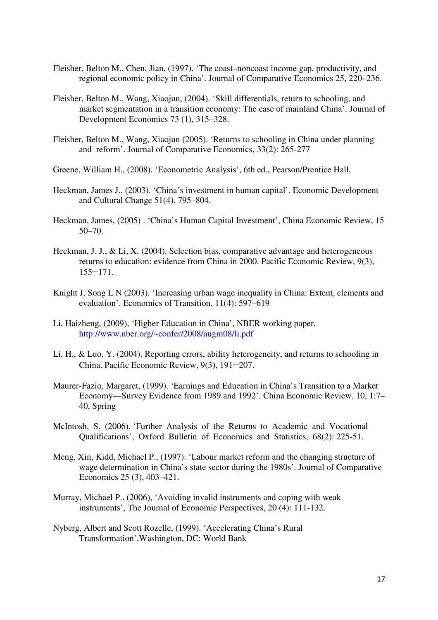- Fleisher, Belton M., Chen, Jian, (1997). 'The coast–noncoast income gap, productivity, and regional economic policy in China'. Journal of Comparative Economics 25, 220–236.
- Fleisher, Belton M., Wang, Xiaojun, (2004). 'Skill differentials, return to schooling, and market segmentation in a transition economy: The case of mainland China'. Journal of Development Economics 73 (1), 315–328.
- Fleisher, Belton M., Wang, Xiaojun (2005). 'Returns to schooling in China under planning and reform'. Journal of Comparative Economics, 33(2): 265-277
- Greene, William H., (2008). 'Econometric Analysis', 6th ed., Pearson/Prentice Hall,
- Heckman, James J., (2003). 'China's investment in human capital'. Economic Development and Cultural Change 51(4), 795–804.
- Heckman, James, (2005) . 'China's Human Capital Investment', China Economic Review, 15 50–70.
- Heckman, J. J., & Li, X. (2004). Selection bias, comparative advantage and heterogeneous returns to education: evidence from China in 2000. Pacific Economic Review, 9(3), 155−171.
- Knight J, Song L N (2003). 'Increasing urban wage inequality in China: Extent, elements and evaluation'. Economics of Transition, 11(4): 597–619
- Li, Haizheng, (2009), 'Higher Education in China', NBER working paper, http://www.nber.org/~confer/2008/augm08/li.pdf
- Li, H., & Luo, Y. (2004). Reporting errors, ability heterogeneity, and returns to schooling in China. Pacific Economic Review, 9(3), 191−207.
- Maurer-Fazio, Margaret, (1999). 'Earnings and Education in China's Transition to a Market Economy—Survey Evidence from 1989 and 1992'. China Economic Review. 10, 1:7– 40, Spring
- McIntosh, S. (2006), 'Further Analysis of the Returns to Academic and Vocational Qualifications', Oxford Bulletin of Economics and Statistics, 68(2): 225-51.
- Meng, Xin, Kidd, Michael P., (1997). 'Labour market reform and the changing structure of wage determination in China's state sector during the 1980s'. Journal of Comparative Economics 25 (3), 403–421.
- Murray, Michael P., (2006), 'Avoiding invalid instruments and coping with weak instruments', The Journal of Economic Perspectives, 20 (4): 111-132.
- Nyberg, Albert and Scott Rozelle, (1999). 'Accelerating China's Rural Transformation',Washington, DC: World Bank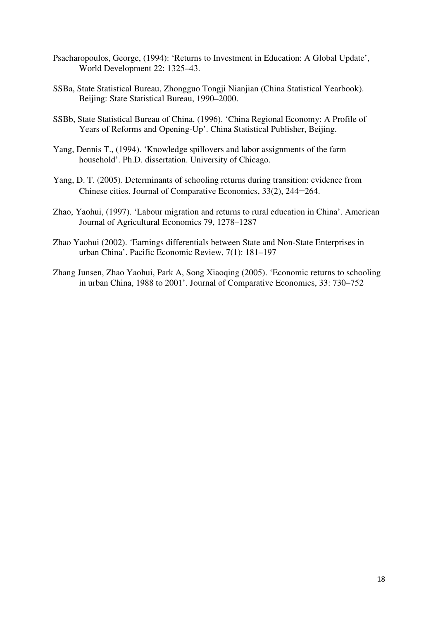- Psacharopoulos, George, (1994): 'Returns to Investment in Education: A Global Update', World Development 22: 1325–43.
- SSBa, State Statistical Bureau, Zhongguo Tongji Nianjian (China Statistical Yearbook). Beijing: State Statistical Bureau, 1990–2000.
- SSBb, State Statistical Bureau of China, (1996). 'China Regional Economy: A Profile of Years of Reforms and Opening-Up'. China Statistical Publisher, Beijing.
- Yang, Dennis T., (1994). 'Knowledge spillovers and labor assignments of the farm household'. Ph.D. dissertation. University of Chicago.
- Yang, D. T. (2005). Determinants of schooling returns during transition: evidence from Chinese cities. Journal of Comparative Economics, 33(2), 244−264.
- Zhao, Yaohui, (1997). 'Labour migration and returns to rural education in China'. American Journal of Agricultural Economics 79, 1278–1287
- Zhao Yaohui (2002). 'Earnings differentials between State and Non-State Enterprises in urban China'. Pacific Economic Review, 7(1): 181–197
- Zhang Junsen, Zhao Yaohui, Park A, Song Xiaoqing (2005). 'Economic returns to schooling in urban China, 1988 to 2001'. Journal of Comparative Economics, 33: 730–752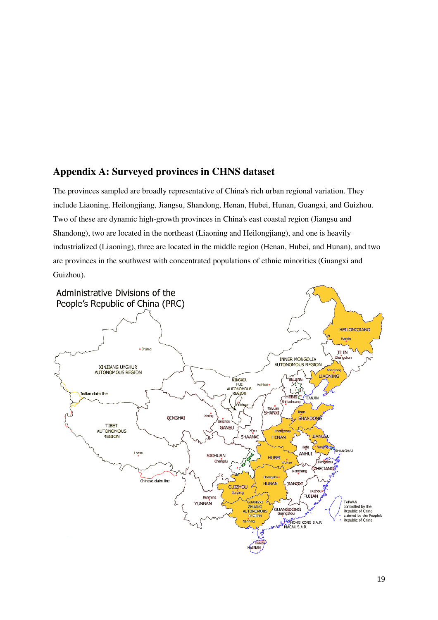## **Appendix A: Surveyed provinces in CHNS dataset**

The provinces sampled are broadly representative of China's rich urban regional variation. They include Liaoning, Heilongjiang, Jiangsu, Shandong, Henan, Hubei, Hunan, Guangxi, and Guizhou. Two of these are dynamic high-growth provinces in China's east coastal region (Jiangsu and Shandong), two are located in the northeast (Liaoning and Heilongjiang), and one is heavily industrialized (Liaoning), three are located in the middle region (Henan, Hubei, and Hunan), and two are provinces in the southwest with concentrated populations of ethnic minorities (Guangxi and Guizhou).

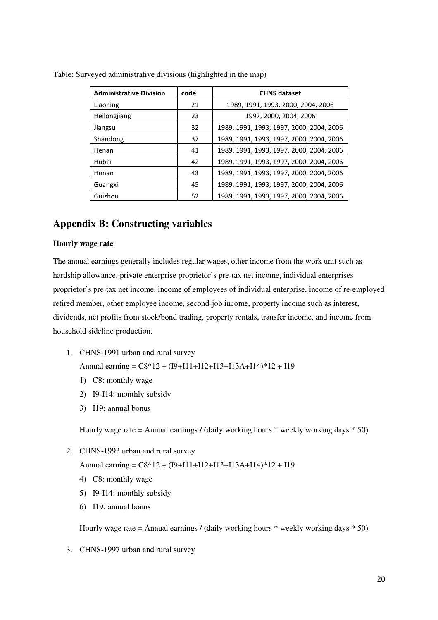| <b>Administrative Division</b> | code | <b>CHNS dataset</b>                      |
|--------------------------------|------|------------------------------------------|
| Liaoning                       | 21   | 1989, 1991, 1993, 2000, 2004, 2006       |
| Heilongjiang                   | 23   | 1997, 2000, 2004, 2006                   |
| Jiangsu                        | 32   | 1989, 1991, 1993, 1997, 2000, 2004, 2006 |
| Shandong                       | 37   | 1989, 1991, 1993, 1997, 2000, 2004, 2006 |
| Henan                          | 41   | 1989, 1991, 1993, 1997, 2000, 2004, 2006 |
| Hubei                          | 42   | 1989, 1991, 1993, 1997, 2000, 2004, 2006 |
| Hunan                          | 43   | 1989, 1991, 1993, 1997, 2000, 2004, 2006 |
| Guangxi                        | 45   | 1989, 1991, 1993, 1997, 2000, 2004, 2006 |
| Guizhou                        | 52   | 1989, 1991, 1993, 1997, 2000, 2004, 2006 |

Table: Surveyed administrative divisions (highlighted in the map)

## **Appendix B: Constructing variables**

#### **Hourly wage rate**

The annual earnings generally includes regular wages, other income from the work unit such as hardship allowance, private enterprise proprietor's pre-tax net income, individual enterprises proprietor's pre-tax net income, income of employees of individual enterprise, income of re-employed retired member, other employee income, second-job income, property income such as interest, dividends, net profits from stock/bond trading, property rentals, transfer income, and income from household sideline production.

1. CHNS-1991 urban and rural survey

Annual earning = C8\*12 + (I9+I11+I12+I13+I13A+I14)\*12 + I19

- 1) C8: monthly wage
- 2) I9-I14: monthly subsidy
- 3) I19: annual bonus

Hourly wage rate = Annual earnings / (daily working hours  $*$  weekly working days  $*$  50)

2. CHNS-1993 urban and rural survey

Annual earning = C8\*12 + (I9+I11+I12+I13+I13A+I14)\*12 + I19

- 4) C8: monthly wage
- 5) I9-I14: monthly subsidy
- 6) I19: annual bonus

Hourly wage rate = Annual earnings / (daily working hours  $*$  weekly working days  $*$  50)

3. CHNS-1997 urban and rural survey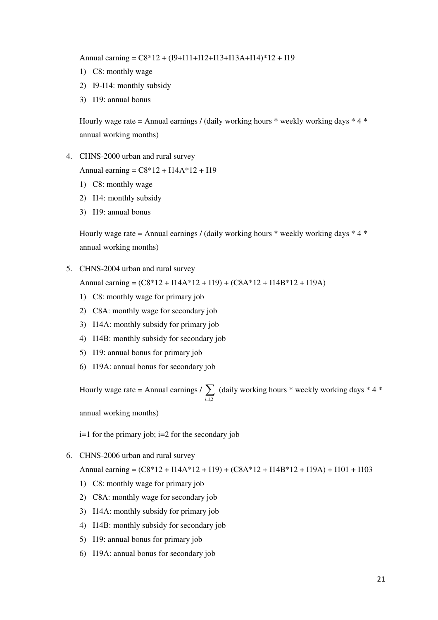Annual earning = C8\*12 + (I9+I11+I12+I13+I13A+I14)\*12 + I19

- 1) C8: monthly wage
- 2) I9-I14: monthly subsidy
- 3) I19: annual bonus

Hourly wage rate = Annual earnings / (daily working hours  $*$  weekly working days  $*$  4  $*$ annual working months)

4. CHNS-2000 urban and rural survey

Annual earning = C8\*12 + I14A\*12 + I19

- 1) C8: monthly wage
- 2) I14: monthly subsidy
- 3) I19: annual bonus

Hourly wage rate = Annual earnings / (daily working hours  $*$  weekly working days  $*$  4  $*$ annual working months)

5. CHNS-2004 urban and rural survey

Annual earning = (C8\*12 + I14A\*12 + I19) + (C8A\*12 + I14B\*12 + I19A)

- 1) C8: monthly wage for primary job
- 2) C8A: monthly wage for secondary job
- 3) I14A: monthly subsidy for primary job
- 4) I14B: monthly subsidy for secondary job
- 5) I19: annual bonus for primary job
- 6) I19A: annual bonus for secondary job

Hourly wage rate = Annual earnings  $\frac{\sum_{n=1}^{n} x_n^2}{n}$  $\frac{1}{i-1,2}$ (daily working hours \* weekly working days \* 4 \*

annual working months)

 $i=1$  for the primary job;  $i=2$  for the secondary job

6. CHNS-2006 urban and rural survey

Annual earning =  $(C8*12 + 114A*12 + 119) + (C8A*12 + 114B*12 + 119A) + 1101 + 1103$ 

- 1) C8: monthly wage for primary job
- 2) C8A: monthly wage for secondary job
- 3) I14A: monthly subsidy for primary job
- 4) I14B: monthly subsidy for secondary job
- 5) I19: annual bonus for primary job
- 6) I19A: annual bonus for secondary job